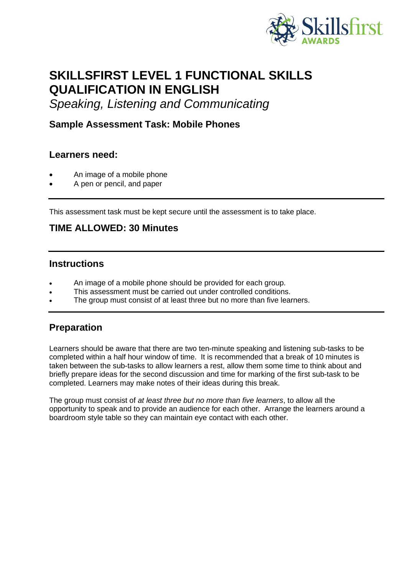

# **SKILLSFIRST LEVEL 1 FUNCTIONAL SKILLS QUALIFICATION IN ENGLISH**

*Speaking, Listening and Communicating*

#### **Sample Assessment Task: Mobile Phones**

#### **Learners need:**

- An image of a mobile phone
- A pen or pencil, and paper

This assessment task must be kept secure until the assessment is to take place.

#### **TIME ALLOWED: 30 Minutes**

#### **Instructions**

- An image of a mobile phone should be provided for each group.
- This assessment must be carried out under controlled conditions.
- The group must consist of at least three but no more than five learners.

#### **Preparation**

Learners should be aware that there are two ten-minute speaking and listening sub-tasks to be completed within a half hour window of time. It is recommended that a break of 10 minutes is taken between the sub-tasks to allow learners a rest, allow them some time to think about and briefly prepare ideas for the second discussion and time for marking of the first sub-task to be completed. Learners may make notes of their ideas during this break.

The group must consist of *at least three but no more than five learners*, to allow all the opportunity to speak and to provide an audience for each other. Arrange the learners around a boardroom style table so they can maintain eye contact with each other.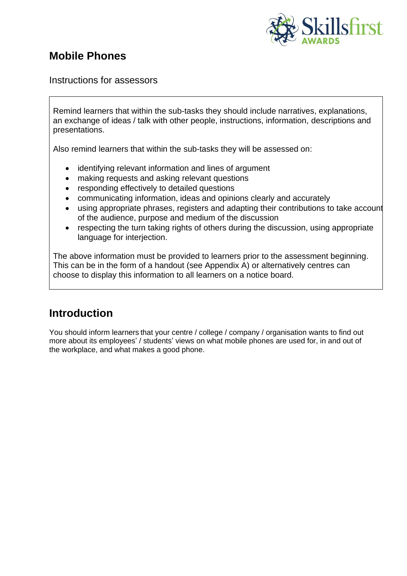

### **Mobile Phones**

Instructions for assessors

Remind learners that within the sub-tasks they should include narratives, explanations, an exchange of ideas / talk with other people, instructions, information, descriptions and presentations.

Also remind learners that within the sub-tasks they will be assessed on:

- identifying relevant information and lines of argument
- making requests and asking relevant questions
- responding effectively to detailed questions
- communicating information, ideas and opinions clearly and accurately
- using appropriate phrases, registers and adapting their contributions to take account of the audience, purpose and medium of the discussion
- respecting the turn taking rights of others during the discussion, using appropriate language for interjection.

The above information must be provided to learners prior to the assessment beginning. This can be in the form of a handout (see Appendix A) or alternatively centres can choose to display this information to all learners on a notice board.

## **Introduction**

You should inform learners that your centre / college / company / organisation wants to find out more about its employees' / students' views on what mobile phones are used for, in and out of the workplace, and what makes a good phone.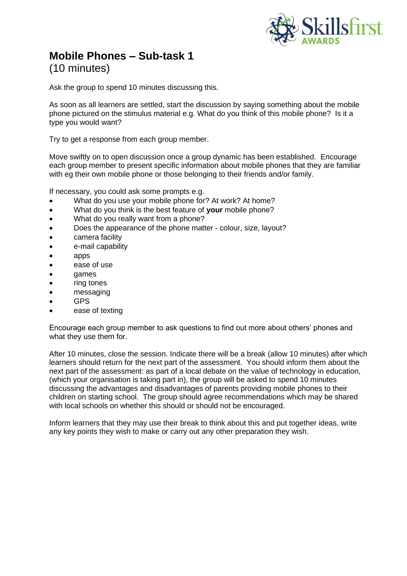

### **Mobile Phones – Sub-task 1** (10 minutes)

Ask the group to spend 10 minutes discussing this.

As soon as all learners are settled, start the discussion by saying something about the mobile phone pictured on the stimulus material e.g. What do you think of this mobile phone? Is it a type you would want?

Try to get a response from each group member.

Move swiftly on to open discussion once a group dynamic has been established. Encourage each group member to present specific information about mobile phones that they are familiar with eg their own mobile phone or those belonging to their friends and/or family.

If necessary, you could ask some prompts e.g.

- What do you use your mobile phone for? At work? At home?
- What do you think is the best feature of **your** mobile phone?
- What do you really want from a phone?
- Does the appearance of the phone matter colour, size, layout?
- camera facility
- e-mail capability
- apps
- ease of use
- games
- ring tones
- messaging
- GPS
- ease of texting

Encourage each group member to ask questions to find out more about others' phones and what they use them for.

After 10 minutes, close the session. Indicate there will be a break (allow 10 minutes) after which learners should return for the next part of the assessment. You should inform them about the next part of the assessment: as part of a local debate on the value of technology in education, (which your organisation is taking part in), the group will be asked to spend 10 minutes discussing the advantages and disadvantages of parents providing mobile phones to their children on starting school. The group should agree recommendations which may be shared with local schools on whether this should or should not be encouraged.

Inform learners that they may use their break to think about this and put together ideas, write any key points they wish to make or carry out any other preparation they wish.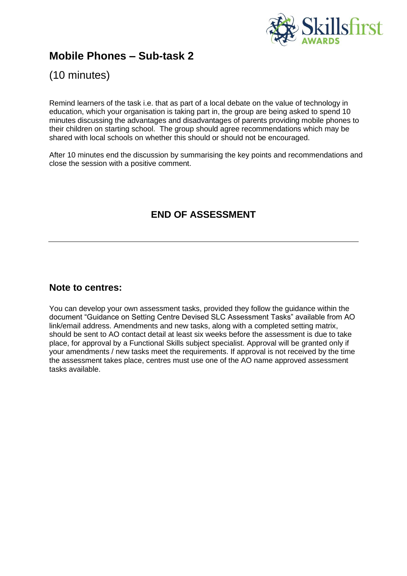

### **Mobile Phones – Sub-task 2**

(10 minutes)

Remind learners of the task i.e. that as part of a local debate on the value of technology in education, which your organisation is taking part in, the group are being asked to spend 10 minutes discussing the advantages and disadvantages of parents providing mobile phones to their children on starting school. The group should agree recommendations which may be shared with local schools on whether this should or should not be encouraged.

After 10 minutes end the discussion by summarising the key points and recommendations and close the session with a positive comment.

### **END OF ASSESSMENT**

#### **Note to centres:**

You can develop your own assessment tasks, provided they follow the guidance within the document "Guidance on Setting Centre Devised SLC Assessment Tasks" available from AO link/email address. Amendments and new tasks, along with a completed setting matrix, should be sent to AO contact detail at least six weeks before the assessment is due to take place, for approval by a Functional Skills subject specialist. Approval will be granted only if your amendments / new tasks meet the requirements. If approval is not received by the time the assessment takes place, centres must use one of the AO name approved assessment tasks available.